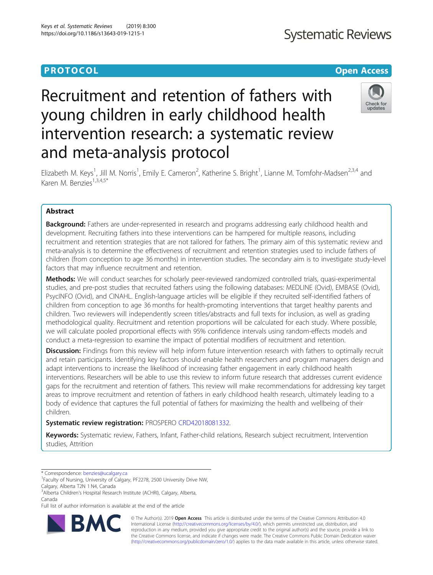# **PROTOCOL CONSUMING THE OPEN ACCESS**

# Recruitment and retention of fathers with young children in early childhood health intervention research: a systematic review and meta-analysis protocol



Elizabeth M. Keys<sup>1</sup>, Jill M. Norris<sup>1</sup>, Emily E. Cameron<sup>2</sup>, Katherine S. Bright<sup>1</sup>, Lianne M. Tomfohr-Madsen<sup>2,3,4</sup> and Karen M. Benzies<sup>1,3,4,5\*</sup>

# Abstract

**Background:** Fathers are under-represented in research and programs addressing early childhood health and development. Recruiting fathers into these interventions can be hampered for multiple reasons, including recruitment and retention strategies that are not tailored for fathers. The primary aim of this systematic review and meta-analysis is to determine the effectiveness of recruitment and retention strategies used to include fathers of children (from conception to age 36 months) in intervention studies. The secondary aim is to investigate study-level factors that may influence recruitment and retention.

Methods: We will conduct searches for scholarly peer-reviewed randomized controlled trials, quasi-experimental studies, and pre-post studies that recruited fathers using the following databases: MEDLINE (Ovid), EMBASE (Ovid), PsycINFO (Ovid), and CINAHL. English-language articles will be eligible if they recruited self-identified fathers of children from conception to age 36 months for health-promoting interventions that target healthy parents and children. Two reviewers will independently screen titles/abstracts and full texts for inclusion, as well as grading methodological quality. Recruitment and retention proportions will be calculated for each study. Where possible, we will calculate pooled proportional effects with 95% confidence intervals using random-effects models and conduct a meta-regression to examine the impact of potential modifiers of recruitment and retention.

Discussion: Findings from this review will help inform future intervention research with fathers to optimally recruit and retain participants. Identifying key factors should enable health researchers and program managers design and adapt interventions to increase the likelihood of increasing father engagement in early childhood health interventions. Researchers will be able to use this review to inform future research that addresses current evidence gaps for the recruitment and retention of fathers. This review will make recommendations for addressing key target areas to improve recruitment and retention of fathers in early childhood health research, ultimately leading to a body of evidence that captures the full potential of fathers for maximizing the health and wellbeing of their children.

Systematic review registration: PROSPERO [CRD42018081332](https://www.crd.york.ac.uk/prospero/display_record.php?ID=CRD42018081332).

Keywords: Systematic review, Fathers, Infant, Father-child relations, Research subject recruitment, Intervention studies, Attrition

\* Correspondence: [benzies@ucalgary.ca](mailto:benzies@ucalgary.ca) <sup>1</sup>

Full list of author information is available at the end of the article



© The Author(s). 2019 **Open Access** This article is distributed under the terms of the Creative Commons Attribution 4.0 International License [\(http://creativecommons.org/licenses/by/4.0/](http://creativecommons.org/licenses/by/4.0/)), which permits unrestricted use, distribution, and reproduction in any medium, provided you give appropriate credit to the original author(s) and the source, provide a link to the Creative Commons license, and indicate if changes were made. The Creative Commons Public Domain Dedication waiver [\(http://creativecommons.org/publicdomain/zero/1.0/](http://creativecommons.org/publicdomain/zero/1.0/)) applies to the data made available in this article, unless otherwise stated.

<sup>&</sup>lt;sup>1</sup> Faculty of Nursing, University of Calgary, PF2278, 2500 University Drive NW, Calgary, Alberta T2N 1 N4, Canada

<sup>&</sup>lt;sup>3</sup> Alberta Children's Hospital Research Institute (ACHRI), Calgary, Alberta, Canada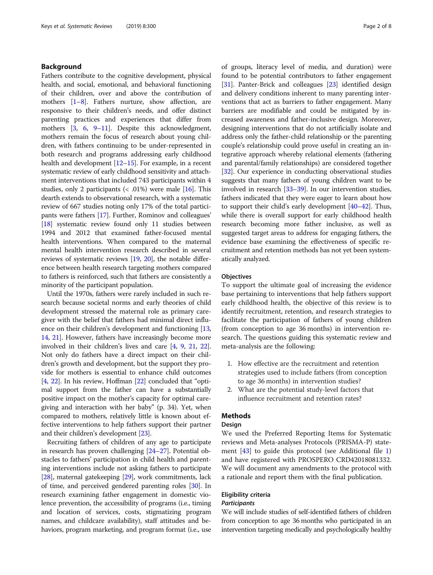# Background

Fathers contribute to the cognitive development, physical health, and social, emotional, and behavioral functioning of their children, over and above the contribution of mothers [\[1](#page-5-0)–[8\]](#page-6-0). Fathers nurture, show affection, are responsive to their children's needs, and offer distinct parenting practices and experiences that differ from mothers [\[3,](#page-5-0) [6](#page-6-0), [9](#page-6-0)–[11\]](#page-6-0). Despite this acknowledgment, mothers remain the focus of research about young children, with fathers continuing to be under-represented in both research and programs addressing early childhood health and development  $[12–15]$  $[12–15]$  $[12–15]$  $[12–15]$ . For example, in a recent systematic review of early childhood sensitivity and attachment interventions that included 743 participants within 4 studies, only 2 participants  $\langle \langle .01 \rangle$  were male [\[16\]](#page-6-0). This dearth extends to observational research, with a systematic review of 667 studies noting only 17% of the total participants were fathers [\[17\]](#page-6-0). Further, Rominov and colleagues' [[18](#page-6-0)] systematic review found only 11 studies between 1994 and 2012 that examined father-focused mental health interventions. When compared to the maternal mental health intervention research described in several reviews of systematic reviews [[19](#page-6-0), [20\]](#page-6-0), the notable difference between health research targeting mothers compared to fathers is reinforced, such that fathers are consistently a minority of the participant population.

Until the 1970s, fathers were rarely included in such research because societal norms and early theories of child development stressed the maternal role as primary caregiver with the belief that fathers had minimal direct influ-ence on their children's development and functioning [[13](#page-6-0), [14](#page-6-0), [21\]](#page-6-0). However, fathers have increasingly become more involved in their children's lives and care [\[4](#page-5-0), [9](#page-6-0), [21](#page-6-0), [22](#page-6-0)]. Not only do fathers have a direct impact on their children's growth and development, but the support they provide for mothers is essential to enhance child outcomes [[4,](#page-5-0) [22\]](#page-6-0). In his review, Hoffman [\[22\]](#page-6-0) concluded that "optimal support from the father can have a substantially positive impact on the mother's capacity for optimal caregiving and interaction with her baby" (p. 34). Yet, when compared to mothers, relatively little is known about effective interventions to help fathers support their partner and their children's development [[23](#page-6-0)].

Recruiting fathers of children of any age to participate in research has proven challenging [\[24](#page-6-0)–[27](#page-6-0)]. Potential obstacles to fathers' participation in child health and parenting interventions include not asking fathers to participate [[28](#page-6-0)], maternal gatekeeping [\[29\]](#page-6-0), work commitments, lack of time, and perceived gendered parenting roles [\[30\]](#page-6-0). In research examining father engagement in domestic violence prevention, the accessibility of programs (i.e., timing and location of services, costs, stigmatizing program names, and childcare availability), staff attitudes and behaviors, program marketing, and program format (i.e., use of groups, literacy level of media, and duration) were found to be potential contributors to father engagement [[31](#page-6-0)]. Panter-Brick and colleagues [\[23](#page-6-0)] identified design and delivery conditions inherent to many parenting interventions that act as barriers to father engagement. Many barriers are modifiable and could be mitigated by increased awareness and father-inclusive design. Moreover, designing interventions that do not artificially isolate and address only the father-child relationship or the parenting couple's relationship could prove useful in creating an integrative approach whereby relational elements (fathering and parental/family relationships) are considered together [[32](#page-6-0)]. Our experience in conducting observational studies suggests that many fathers of young children want to be involved in research [\[33](#page-6-0)–[39](#page-6-0)]. In our intervention studies, fathers indicated that they were eager to learn about how to support their child's early development [\[40](#page-6-0)–[42](#page-6-0)]. Thus, while there is overall support for early childhood health research becoming more father inclusive, as well as suggested target areas to address for engaging fathers, the evidence base examining the effectiveness of specific recruitment and retention methods has not yet been systematically analyzed.

# **Objectives**

To support the ultimate goal of increasing the evidence base pertaining to interventions that help fathers support early childhood health, the objective of this review is to identify recruitment, retention, and research strategies to facilitate the participation of fathers of young children (from conception to age 36 months) in intervention research. The questions guiding this systematic review and meta-analysis are the following:

- 1. How effective are the recruitment and retention strategies used to include fathers (from conception to age 36 months) in intervention studies?
- 2. What are the potential study-level factors that influence recruitment and retention rates?

# **Methods**

### Design

We used the Preferred Reporting Items for Systematic reviews and Meta-analyses Protocols (PRISMA-P) statement [\[43](#page-6-0)] to guide this protocol (see Additional file [1](#page-5-0)) and have registered with PROSPERO CRD42018081332. We will document any amendments to the protocol with a rationale and report them with the final publication.

# Eligibility criteria

## **Participants**

We will include studies of self-identified fathers of children from conception to age 36 months who participated in an intervention targeting medically and psychologically healthy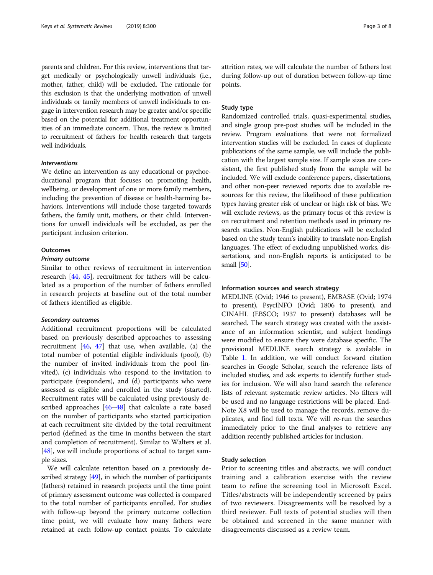parents and children. For this review, interventions that target medically or psychologically unwell individuals (i.e., mother, father, child) will be excluded. The rationale for this exclusion is that the underlying motivation of unwell individuals or family members of unwell individuals to engage in intervention research may be greater and/or specific based on the potential for additional treatment opportunities of an immediate concern. Thus, the review is limited to recruitment of fathers for health research that targets well individuals.

# Interventions

We define an intervention as any educational or psychoeducational program that focuses on promoting health, wellbeing, or development of one or more family members, including the prevention of disease or health-harming behaviors. Interventions will include those targeted towards fathers, the family unit, mothers, or their child. Interventions for unwell individuals will be excluded, as per the participant inclusion criterion.

## **Outcomes**

## Primary outcome

Similar to other reviews of recruitment in intervention research [\[44,](#page-6-0) [45\]](#page-6-0), recruitment for fathers will be calculated as a proportion of the number of fathers enrolled in research projects at baseline out of the total number of fathers identified as eligible.

#### Secondary outcomes

Additional recruitment proportions will be calculated based on previously described approaches to assessing recruitment [[46](#page-6-0), [47\]](#page-6-0) that use, when available, (a) the total number of potential eligible individuals (pool), (b) the number of invited individuals from the pool (invited), (c) individuals who respond to the invitation to participate (responders), and (d) participants who were assessed as eligible and enrolled in the study (started). Recruitment rates will be calculated using previously described approaches [\[46](#page-6-0)–[48\]](#page-6-0) that calculate a rate based on the number of participants who started participation at each recruitment site divided by the total recruitment period (defined as the time in months between the start and completion of recruitment). Similar to Walters et al. [[48\]](#page-6-0), we will include proportions of actual to target sample sizes.

We will calculate retention based on a previously described strategy [[49](#page-6-0)], in which the number of participants (fathers) retained in research projects until the time point of primary assessment outcome was collected is compared to the total number of participants enrolled. For studies with follow-up beyond the primary outcome collection time point, we will evaluate how many fathers were retained at each follow-up contact points. To calculate attrition rates, we will calculate the number of fathers lost during follow-up out of duration between follow-up time points.

# Study type

Randomized controlled trials, quasi-experimental studies, and single group pre-post studies will be included in the review. Program evaluations that were not formalized intervention studies will be excluded. In cases of duplicate publications of the same sample, we will include the publication with the largest sample size. If sample sizes are consistent, the first published study from the sample will be included. We will exclude conference papers, dissertations, and other non-peer reviewed reports due to available resources for this review, the likelihood of these publication types having greater risk of unclear or high risk of bias. We will exclude reviews, as the primary focus of this review is on recruitment and retention methods used in primary research studies. Non-English publications will be excluded based on the study team's inability to translate non-English languages. The effect of excluding unpublished works, dissertations, and non-English reports is anticipated to be small [\[50\]](#page-6-0).

## Information sources and search strategy

MEDLINE (Ovid; 1946 to present), EMBASE (Ovid; 1974 to present), PsycINFO (Ovid; 1806 to present), and CINAHL (EBSCO; 1937 to present) databases will be searched. The search strategy was created with the assistance of an information scientist, and subject headings were modified to ensure they were database specific. The provisional MEDLINE search strategy is available in Table [1](#page-3-0). In addition, we will conduct forward citation searches in Google Scholar, search the reference lists of included studies, and ask experts to identify further studies for inclusion. We will also hand search the reference lists of relevant systematic review articles. No filters will be used and no language restrictions will be placed. End-Note X8 will be used to manage the records, remove duplicates, and find full texts. We will re-run the searches immediately prior to the final analyses to retrieve any addition recently published articles for inclusion.

#### Study selection

Prior to screening titles and abstracts, we will conduct training and a calibration exercise with the review team to refine the screening tool in Microsoft Excel. Titles/abstracts will be independently screened by pairs of two reviewers. Disagreements will be resolved by a third reviewer. Full texts of potential studies will then be obtained and screened in the same manner with disagreements discussed as a review team.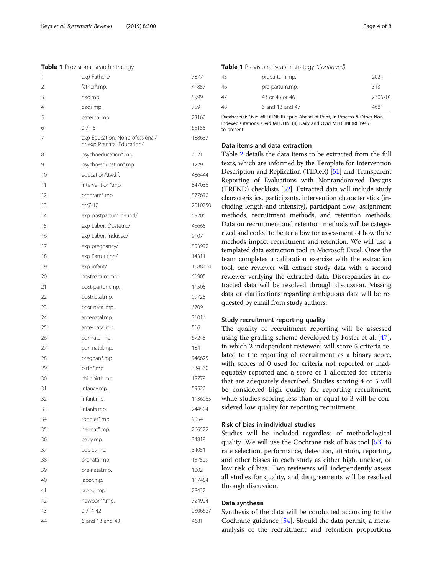#### <span id="page-3-0"></span>Table 1 Provisional search strategy

| 1  | exp Fathers/                                                  | 7877    |
|----|---------------------------------------------------------------|---------|
| 2  | father*.mp.                                                   | 41857   |
| 3  | dad.mp.                                                       | 5999    |
| 4  | dads.mp.                                                      | 759     |
| 5  | paternal.mp.                                                  | 23160   |
| 6  | $or/1-5$                                                      | 65155   |
| 7  | exp Education, Nonprofessional/<br>or exp Prenatal Education/ | 188637  |
| 8  | psychoeducation*.mp.                                          | 4021    |
| 9  | psycho-education*.mp.                                         | 1229    |
| 10 | education*.tw,kf.                                             | 486444  |
| 11 | intervention*.mp.                                             | 847036  |
| 12 | program*.mp.                                                  | 877690  |
| 13 | $or/7-12$                                                     | 2010750 |
| 14 | exp postpartum period/                                        | 59206   |
| 15 | exp Labor, Obstetric/                                         | 45665   |
| 16 | exp Labor, Induced/                                           | 9107    |
| 17 | exp pregnancy/                                                | 853992  |
| 18 | exp Parturition/                                              | 14311   |
| 19 | exp infant/                                                   | 1088414 |
| 20 | postpartum.mp.                                                | 61905   |
| 21 | post-partum.mp.                                               | 11505   |
| 22 | postnatal.mp.                                                 | 99728   |
| 23 | post-natal.mp.                                                | 6709    |
| 24 | antenatal.mp.                                                 | 31014   |
| 25 | ante-natal.mp.                                                | 516     |
| 26 | perinatal.mp.                                                 | 67248   |
| 27 | peri-natal.mp.                                                | 184     |
| 28 | pregnan*.mp.                                                  | 946625  |
| 29 | birth*.mp.                                                    | 334360  |
| 30 | childbirth.mp.                                                | 18779   |
| 31 | infancy.mp.                                                   | 59520   |
| 32 | infant.mp.                                                    | 1136965 |
| 33 | infants.mp.                                                   | 244504  |
| 34 | toddler*.mp.                                                  | 9054    |
| 35 | neonat*.mp.                                                   | 266522  |
| 36 | baby.mp.                                                      | 34818   |
| 37 | babies.mp.                                                    | 34051   |
| 38 | prenatal.mp.                                                  | 157509  |
| 39 | pre-natal.mp.                                                 | 1202    |
| 40 | labor.mp.                                                     | 117454  |
| 41 | labour.mp.                                                    | 28432   |
| 42 | newborn*.mp.                                                  | 724924  |
| 43 | or/14-42                                                      | 2306627 |
| 44 | 6 and 13 and 43                                               | 4681    |

### Table 1 Provisional search strategy (Continued)

| 45 | prepartum.mp.   | 2024    |
|----|-----------------|---------|
| 46 | pre-partum.mp.  | 313     |
| 47 | 43 or 45 or 46  | 2306701 |
| 48 | 6 and 13 and 47 | 4681    |

Database(s): Ovid MEDLINE(R) Epub Ahead of Print, In-Process & Other Non-Indexed Citations, Ovid MEDLINE(R) Daily and Ovid MEDLINE(R) 1946 to present

# Data items and data extraction

Table [2](#page-4-0) details the data items to be extracted from the full texts, which are informed by the Template for Intervention Description and Replication (TIDieR) [[51](#page-6-0)] and Transparent Reporting of Evaluations with Nonrandomized Designs (TREND) checklists [[52](#page-6-0)]. Extracted data will include study characteristics, participants, intervention characteristics (including length and intensity), participant flow, assignment methods, recruitment methods, and retention methods. Data on recruitment and retention methods will be categorized and coded to better allow for assessment of how these methods impact recruitment and retention. We will use a templated data extraction tool in Microsoft Excel. Once the team completes a calibration exercise with the extraction tool, one reviewer will extract study data with a second reviewer verifying the extracted data. Discrepancies in extracted data will be resolved through discussion. Missing data or clarifications regarding ambiguous data will be requested by email from study authors.

#### Study recruitment reporting quality

The quality of recruitment reporting will be assessed using the grading scheme developed by Foster et al. [\[47](#page-6-0)], in which 2 independent reviewers will score 5 criteria related to the reporting of recruitment as a binary score, with scores of 0 used for criteria not reported or inadequately reported and a score of 1 allocated for criteria that are adequately described. Studies scoring 4 or 5 will be considered high quality for reporting recruitment, while studies scoring less than or equal to 3 will be considered low quality for reporting recruitment.

# Risk of bias in individual studies

Studies will be included regardless of methodological quality. We will use the Cochrane risk of bias tool [[53](#page-6-0)] to rate selection, performance, detection, attrition, reporting, and other biases in each study as either high, unclear, or low risk of bias. Two reviewers will independently assess all studies for quality, and disagreements will be resolved through discussion.

# Data synthesis

Synthesis of the data will be conducted according to the Cochrane guidance [[54](#page-7-0)]. Should the data permit, a metaanalysis of the recruitment and retention proportions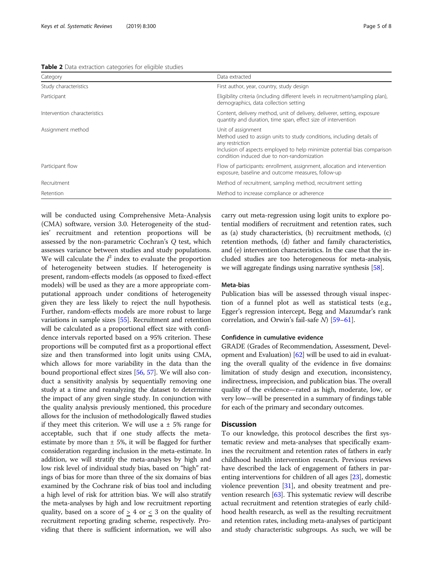<span id="page-4-0"></span>

| Category                     | Data extracted                                                                                                                                                                                                                           |  |
|------------------------------|------------------------------------------------------------------------------------------------------------------------------------------------------------------------------------------------------------------------------------------|--|
| Study characteristics        | First author, year, country, study design                                                                                                                                                                                                |  |
| Participant                  | Eligibility criteria (including different levels in recruitment/sampling plan),<br>demographics, data collection setting                                                                                                                 |  |
| Intervention characteristics | Content, delivery method, unit of delivery, deliverer, setting, exposure<br>quantity and duration, time span, effect size of intervention                                                                                                |  |
| Assignment method            | Unit of assignment<br>Method used to assign units to study conditions, including details of<br>any restriction<br>Inclusion of aspects employed to help minimize potential bias comparison<br>condition induced due to non-randomization |  |
| Participant flow             | Flow of participants: enrollment, assignment, allocation and intervention<br>exposure, baseline and outcome measures, follow-up                                                                                                          |  |
| Recruitment                  | Method of recruitment, sampling method, recruitment setting                                                                                                                                                                              |  |
| Retention                    | Method to increase compliance or adherence                                                                                                                                                                                               |  |

will be conducted using Comprehensive Meta-Analysis (CMA) software, version 3.0. Heterogeneity of the studies' recruitment and retention proportions will be assessed by the non-parametric Cochran's Q test, which assesses variance between studies and study populations. We will calculate the  $I^2$  index to evaluate the proportion of heterogeneity between studies. If heterogeneity is present, random-effects models (as opposed to fixed-effect models) will be used as they are a more appropriate computational approach under conditions of heterogeneity given they are less likely to reject the null hypothesis. Further, random-effects models are more robust to large variations in sample sizes [\[55\]](#page-7-0). Recruitment and retention will be calculated as a proportional effect size with confidence intervals reported based on a 95% criterion. These proportions will be computed first as a proportional effect size and then transformed into logit units using CMA, which allows for more variability in the data than the bound proportional effect sizes [\[56,](#page-7-0) [57\]](#page-7-0). We will also conduct a sensitivity analysis by sequentially removing one study at a time and reanalyzing the dataset to determine the impact of any given single study. In conjunction with the quality analysis previously mentioned, this procedure allows for the inclusion of methodologically flawed studies if they meet this criterion. We will use a  $\pm$  5% range for acceptable, such that if one study affects the metaestimate by more than  $\pm$  5%, it will be flagged for further consideration regarding inclusion in the meta-estimate. In addition, we will stratify the meta-analyses by high and low risk level of individual study bias, based on "high" ratings of bias for more than three of the six domains of bias examined by the Cochrane risk of bias tool and including a high level of risk for attrition bias. We will also stratify the meta-analyses by high and low recruitment reporting quality, based on a score of  $\geq$  4 or  $\leq$  3 on the quality of recruitment reporting grading scheme, respectively. Providing that there is sufficient information, we will also carry out meta-regression using logit units to explore potential modifiers of recruitment and retention rates, such as (a) study characteristics, (b) recruitment methods, (c) retention methods, (d) father and family characteristics, and (e) intervention characteristics. In the case that the included studies are too heterogeneous for meta-analysis, we will aggregate findings using narrative synthesis [[58](#page-7-0)].

# Meta-bias

Publication bias will be assessed through visual inspection of a funnel plot as well as statistical tests (e.g., Egger's regression intercept, Begg and Mazumdar's rank correlation, and Orwin's fail-safe N) [[59](#page-7-0)–[61](#page-7-0)].

# Confidence in cumulative evidence

GRADE (Grades of Recommendation, Assessment, Development and Evaluation) [\[62](#page-7-0)] will be used to aid in evaluating the overall quality of the evidence in five domains: limitation of study design and execution, inconsistency, indirectness, imprecision, and publication bias. The overall quality of the evidence—rated as high, moderate, low, or very low—will be presented in a summary of findings table for each of the primary and secondary outcomes.

# **Discussion**

To our knowledge, this protocol describes the first systematic review and meta-analyses that specifically examines the recruitment and retention rates of fathers in early childhood health intervention research. Previous reviews have described the lack of engagement of fathers in parenting interventions for children of all ages [[23](#page-6-0)], domestic violence prevention [\[31\]](#page-6-0), and obesity treatment and prevention research [\[63\]](#page-7-0). This systematic review will describe actual recruitment and retention strategies of early childhood health research, as well as the resulting recruitment and retention rates, including meta-analyses of participant and study characteristic subgroups. As such, we will be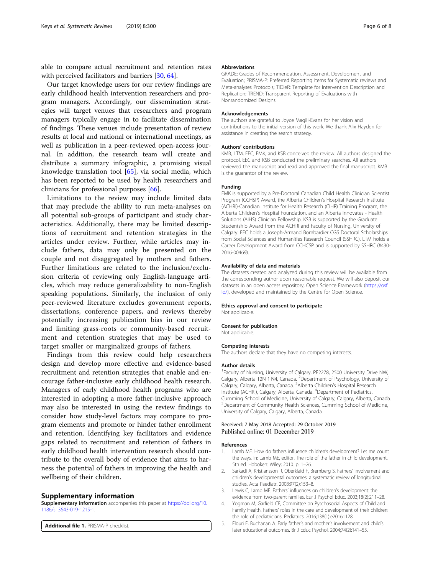<span id="page-5-0"></span>able to compare actual recruitment and retention rates with perceived facilitators and barriers [\[30](#page-6-0), [64](#page-7-0)].

Our target knowledge users for our review findings are early childhood health intervention researchers and program managers. Accordingly, our dissemination strategies will target venues that researchers and program managers typically engage in to facilitate dissemination of findings. These venues include presentation of review results at local and national or international meetings, as well as publication in a peer-reviewed open-access journal. In addition, the research team will create and distribute a summary infographic, a promising visual knowledge translation tool [[65](#page-7-0)], via social media, which has been reported to be used by health researchers and clinicians for professional purposes [[66\]](#page-7-0).

Limitations to the review may include limited data that may preclude the ability to run meta-analyses on all potential sub-groups of participant and study characteristics. Additionally, there may be limited descriptions of recruitment and retention strategies in the articles under review. Further, while articles may include fathers, data may only be presented on the couple and not disaggregated by mothers and fathers. Further limitations are related to the inclusion/exclusion criteria of reviewing only English-language articles, which may reduce generalizability to non-English speaking populations. Similarly, the inclusion of only peer-reviewed literature excludes government reports, dissertations, conference papers, and reviews thereby potentially increasing publication bias in our review and limiting grass-roots or community-based recruitment and retention strategies that may be used to target smaller or marginalized groups of fathers.

Findings from this review could help researchers design and develop more effective and evidence-based recruitment and retention strategies that enable and encourage father-inclusive early childhood health research. Managers of early childhood health programs who are interested in adopting a more father-inclusive approach may also be interested in using the review findings to consider how study-level factors may compare to program elements and promote or hinder father enrollment and retention. Identifying key facilitators and evidence gaps related to recruitment and retention of fathers in early childhood health intervention research should contribute to the overall body of evidence that aims to harness the potential of fathers in improving the health and wellbeing of their children.

#### Supplementary information

Supplementary information accompanies this paper at [https://doi.org/10.](https://doi.org/10.1186/s13643-019-1215-1) [1186/s13643-019-1215-1.](https://doi.org/10.1186/s13643-019-1215-1)

Additional file 1. PRISMA-P checklist.

#### Abbreviations

GRADE: Grades of Recommendation, Assessment, Development and Evaluation; PRISMA-P: Preferred Reporting Items for Systematic reviews and Meta-analyses Protocols; TIDieR: Template for Intervention Description and Replication; TREND: Transparent Reporting of Evaluations with Nonrandomized Designs

#### Acknowledgements

The authors are grateful to Joyce Magill-Evans for her vision and contributions to the initial version of this work. We thank Alix Hayden for assistance in creating the search strategy.

#### Authors' contributions

KMB, LTM, EEC, EMK, and KSB conceived the review. All authors designed the protocol. EEC and KSB conducted the preliminary searches. All authors reviewed the manuscript and read and approved the final manuscript. KMB is the guarantor of the review.

#### Funding

EMK is supported by a Pre-Doctoral Canadian Child Health Clinician Scientist Program (CCHSP) Award, the Alberta Children's Hospital Research Institute (ACHRI)-Canadian Institute for Health Research (CIHR) Training Program, the Alberta Children's Hospital Foundation, and an Alberta Innovates - Health Solutions (AIHS) Clinician Fellowship. KSB is supported by the Graduate Studentship Award from the ACHRI and Faculty of Nursing, University of Calgary. EEC holds a Joseph-Armand Bombardier CGS Doctoral Scholarships from Social Sciences and Humanities Research Council (SSHRC). LTM holds a Career Development Award from CCHCSP and is supported by SSHRC (#430- 2016-00469).

#### Availability of data and materials

The datasets created and analyzed during this review will be available from the corresponding author upon reasonable request. We will also deposit our datasets in an open access repository, Open Science Framework ([https://osf.](https://osf.io/) [io/\)](https://osf.io/), developed and maintained by the Centre for Open Science.

#### Ethics approval and consent to participate

Not applicable.

#### Consent for publication

Not applicable.

#### Competing interests

The authors declare that they have no competing interests.

#### Author details

<sup>1</sup> Faculty of Nursing, University of Calgary, PF2278, 2500 University Drive NW Calgary, Alberta T2N 1 N4, Canada. <sup>2</sup>Department of Psychology, University of Calgary, Calgary, Alberta, Canada. <sup>3</sup>Alberta Children's Hospital Research Institute (ACHRI), Calgary, Alberta, Canada. <sup>4</sup>Department of Pediatrics Cumming School of Medicine, University of Calgary, Calgary, Alberta, Canada. <sup>5</sup>Department of Community Health Sciences, Cumming School of Medicine University of Calgary, Calgary, Alberta, Canada.

#### Received: 7 May 2018 Accepted: 29 October 2019 Published online: 01 December 2019

#### References

- Lamb ME. How do fathers influence children's development? Let me count the ways. In: Lamb ME, editor. The role of the father in child development. 5th ed. Hoboken: Wiley; 2010. p. 1–26.
- 2. Sarkadi A, Kristiansson R, Oberklaid F, Bremberg S. Fathers' involvement and children's developmental outcomes: a systematic review of longitudinal studies. Acta Paediatr. 2008;97(2):153–8.
- 3. Lewis C, Lamb ME. Fathers' influences on children's development: the evidence from two-parent families. Eur J Psychol Educ. 2003;18(2):211–28.
- 4. Yogman M, Garfield CF, Committee on Pyschosocial Aspects of Child and Family Health. Fathers' roles in the care and development of their children: the role of pediatricians. Pediatrics. 2016;138(1):e20161128.
- 5. Flouri E, Buchanan A. Early father's and mother's involvement and child's later educational outcomes. Br J Educ Psychol. 2004;74(2):141–53.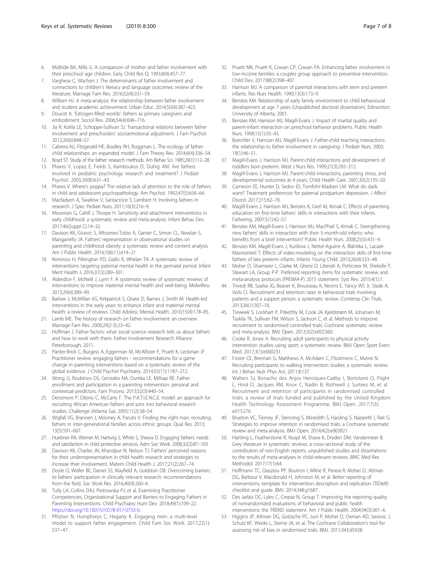- <span id="page-6-0"></span>6. McBride BA, Mills G. A comparison of mother and father involvement with their preschool age children. Early Child Res Q. 1993;8(4):457–77.
- 7. Varghese C, Wachen J. The determinants of father involvement and connections to children's literacy and language outcomes: review of the literature. Marriage Fam Rev. 2016;52(4):331–59.
- 8. William HJ. A meta-analysis: the relationship between father involvement and student academic achievement. Urban Educ. 2014;50(4):387–423.
- 9. Doucet A. 'Estrogen-filled worlds': fathers as primary caregivers and embodiment. Sociol Rev. 2006;54(4):696–716.
- 10. Jia R, Kotila LE, Schoppe-Sullivan SJ. Transactional relations between father involvement and preschoolers' socioemotional adjustment. J Fam Psychol. 2012;26(6):848–57.
- 11. Cabrera NJ, Fitzgerald HE, Bradley RH, Roggman L. The ecology of fatherchild relationships: an expanded model. J Fam Theory Rev. 2014;6(4):336–54.
- 12. Boyd ST. Study of the father: research methods. Am Behav Sci. 1985;29(1):112–28.
- 13. Phares V, Lopez E, Fields S, Kamboukos D, Duhig AM. Are fathers involved in pediatric psychology research and treatment? J Pediatr Psychol. 2005;30(8):631–43.
- 14. Phares V. Where's poppa? The relative lack of attention to the role of fathers in child and adolescent psychopathology. Am Psychol. 1992;47(5):656–64.
- 15. Macfadyen A, Swallow V, Santacroce S, Lambert H. Involving fathers in research. J Spec Pediatr Nurs. 2011;16(3):216–9.
- 16. Mountain G, Cahill J, Thorpe H. Sensitivity and attachment interventions in early childhood: a systematic review and meta-analysis. Infant Behav Dev. 2017;46(Suppl C):14–32.
- 17. Davison KK, Gicevic S, Aftosmes-Tobio A, Ganter C, Simon CL, Newlan S, Manganello JA. Fathers' representation in observational studies on parenting and childhood obesity: a systematic review and content analysis. Am J Public Health. 2016;106(11):e14–21.
- 18. Rominov H, Pilkington PD, Giallo R, Whelan TA. A systematic review of interventions targeting paternal mental health in the perinatal period. Infant Ment Health J. 2016;37(3):289–301.
- 19. Alderdice F, McNeill J, Lynn F. A systematic review of systematic reviews of interventions to improve maternal mental health and well-being. Midwifery. 2013;29(4):389–99.
- 20. Barlow J, McMillan AS, Kirkpatrick S, Ghate D, Barnes J, Smith M. Health-led interventions in the early years to enhance infant and maternal mental health: a review of reviews. Child Adolesc Mental Health. 2010;15(4):178–85.
- 21. Lamb ME. The history of research on father involvement: an overview. Marriage Fam Rev. 2000;29(2-3):23–42.
- 22. Hoffman J. Father factors: what social science research tells us about fathers and how to work with them. Father Involvement Research Alliance: Peterborough; 2011.
- 23. Panter-Brick C, Burgess A, Eggerman M, McAllister F, Pruett K, Leckman JF. Practitioner review: engaging fathers - recommendations for a game change in parenting interventions based on a systematic review of the global evidence. J Child Psychol Psychiatry. 2014;55(11):1187–212.
- 24. Wong JJ, Roubinov DS, Gonzales NA, Dumka LE, Millsap RE. Father enrollment and participation in a parenting intervention: personal and contextual predictors. Fam Process. 2013;52(3):440–54.
- 25. Denzmore P, Dilorio C, McCarty F. The P.A.T.I.E.N.C.E. model: an approach for recruiting African American fathers and sons into behavioral research studies. Challenge (Atlanta Ga). 2005;11(2):38–54.
- 26. Wigfall VG, Brannen J, Mooney A, Parutis V. Finding the right man: recruiting fathers in inter-generational families across ethnic groups. Qual Res. 2013; 13(5):591–607.
- 27. Huebner RA, Werner M, Hartwig S, White S, Shewa D. Engaging fathers: needs and satisfaction in child protective services. Adm Soc Work. 2008;32(2):87–103.
- 28. Davison KK, Charles JN, Khandpur N, Nelson TJ. Fathers' perceived reasons for their underrepresentation in child health research and strategies to increase their involvement. Matern Child Health J. 2017;21(2):267–74.
- 29. Doyle O, Weller BE, Daniel SS, Mayfield A, Goldston DB. Overcoming barriers to fathers' participation in clinically relevant research: recommendations from the field. Soc Work Res. 2016;40(4):260–4.
- 30. Tully LA, Collins DAJ, Piotrowska PJ, et al. Examining Practitioner Competencies, Organizational Support and Barriers to Engaging Fathers in Parenting Interventions. Child Psychiatry Hum Dev. 2018;49(1):109–22. <https://doi.org/10.1007/s10578-017-0733-0>.
- 31. Pfitzner N, Humphreys C, Hegarty K. Engaging men: a multi-level model to support father engagement. Child Fam Soc Work. 2017;22(1): 537–47.
- 32. Pruett MK, Pruett K, Cowan CP, Cowan PA. Enhancing father involvement in low-income families: a couples group approach to preventive intervention. Child Dev. 2017;88(2):398–407.
- 33. Harrison MJ. A comparison of parental interactions with term and preterm infants. Res Nurs Health. 1990;13(3):173–9.
- 34. Benzies KM. Relationship of early family environment to child behavioural development at age 7 years (Unpublished doctoral dissertation). Edmonton: University of Alberta; 2001.
- 35. Benzies KM, Harrison MJ, Magill-Evans J. Impact of marital quality and parent-infant interaction on preschool behavior problems. Public Health Nurs. 1998;15(1):35–43.
- 36. Boechler V, Harrison MJ, Magill-Evans J. Father-child teaching interactions: the relationship to father involvement in caregiving. J Pediatr Nurs. 2003; 18(1):46–51.
- 37. Magill-Evans J, Harrison MJ. Parent-child interactions and development of toddlers born preterm. West J Nurs Res. 1999;21(3):292–312.
- 38. Magill-Evans J, Harrison MJ. Parent-child interactions, parenting stress, and developmental outcomes at 4 years. Child Health Care. 2001;30(2):135–50.
- 39. Cameron EE, Hunter D, Sedov ID, Tomfohr-Madsen LM. What do dads want? Treatment preferences for paternal postpartum depression. J Affect Disord. 2017;215:62–70.
- 40. Magill-Evans J, Harrison MJ, Benzies K, Gierl M, Kimak C. Effects of parenting education on first-time fathers' skills in interactions with their infants. Fathering. 2007;5(1):42–57.
- 41. Benzies KM, Magill-Evans J, Harrison MJ, MacPhail S, Kimak C. Strengthening new fathers' skills in interaction with their 5-month-old infants: who benefits from a brief intervention? Public Health Nurs. 2008;25(5):431–9.
- 42. Benzies KM, Magill-Evans J, Kurilova J, Nettel-Aguirre A, Blahitka L, Lacaze-Masmonteil T. Effects of video-modeling on the interaction skills of first-time fathers of late preterm infants. Infants Young Child. 2013;26(4):333–48.
- 43. Moher D, Shamseer L, Clarke M, Ghersi D, Liberati A, Petticrew M, Shekelle P, Stewart LA, Group P-P. Preferred reporting items for systematic review and meta-analysis protocols (PRISMA-P) 2015 statement. Syst Rev. 2015;4(1):1.
- 44. Trivedi RB, Szarka JG, Beaver K, Brousseau K, Nevins E, Yancy WS Jr, Slade A, Voils CI. Recruitment and retention rates in behavioral trials involving patients and a support person: a systematic review. Contemp Clin Trials. 2013;36(1):307–18.
- 45. Treweek S, Lockhart P, Pitkethly M, Cook JA, Kjeldstrøm M, Johansen M, Taskila TK, Sullivan FM, Wilson S, Jackson C, et al. Methods to improve recruitment to randomised controlled trials: Cochrane systematic review and meta-analysis. BMJ Open. 2013;3(2):e002360.
- 46. Cooke R, Jones A. Recruiting adult participants to physical activity intervention studies using sport: a systematic review. BMJ Open Sport Exerc Med. 2017;3(1):e000231.
- 47. Foster CE, Brennan G, Matthews A, McAdam C, Fitzsimons C, Mutrie N. Recruiting participants to walking intervention studies: a systematic review. Int J Behav Nutr Phys Act. 2011;8:137.
- 48. Walters SJ, Bonacho dos Anjos Henriques-Cadby I, Bortolami O, Flight L, Hind D, Jacques RM, Knox C, Nadin B, Rothwell J, Surtees M, et al. Recruitment and retention of participants in randomised controlled trials: a review of trials funded and published by the United Kingdom Health Technology Assessment Programme. BMJ Open. 2017;7(3): e015276.
- 49. Brueton VC, Tierney JF, Stenning S, Meredith S, Harding S, Nazareth I, Rait G. Strategies to improve retention in randomised trials: a Cochrane systematic review and meta-analysis. BMJ Open. 2014;4(2):e003821.
- 50. Hartling L, Featherstone R, Nuspl M, Shave K, Dryden DM, Vandermeer B. Grey literature in systematic reviews: a cross-sectional study of the contribution of non-English reports, unpublished studies and dissertations to the results of meta-analyses in child-relevant reviews. BMC Med Res Methodol. 2017;17(1):64.
- 51. Hoffmann TC, Glasziou PP, Boutron I, Milne R, Perera R, Moher D, Altman DG, Barbour V, Macdonald H, Johnston M, et al. Better reporting of interventions: template for intervention description and replication (TIDieR) checklist and guide. BMJ. 2014;348:g1687.
- 52. Des Jarlais DC, Lyles C, Crepaz N, Group T. Improving the reporting quality of nonrandomized evaluations of behavioral and public health interventions: the TREND statement. Am J Public Health. 2004;94(3):361–6.
- 53. Higgins JP, Altman DG, Gotzsche PC, Juni P, Moher D, Oxman AD, Savovic J, Schulz KF, Weeks L, Sterne JA, et al. The Cochrane Collaboration's tool for assessing risk of bias in randomised trials. BMJ. 2011;343:d5928.